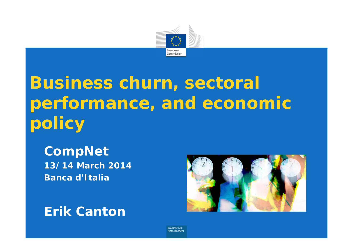

# **Business churn, sectoral performance, and economic policy**

**CompNet 13/14 March 2014 Banca d'Italia**

**Erik Canton**



**Economic and Financial Affair**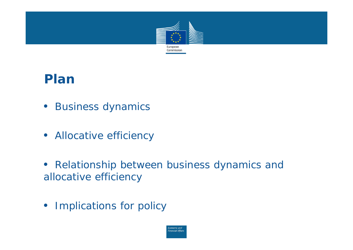

#### **Plan**

- *Business dynamics*
- *Allocative efficiency*
- $\bullet$  *Relationship between business dynamics and allocative efficiency*
- *Implications for policy*

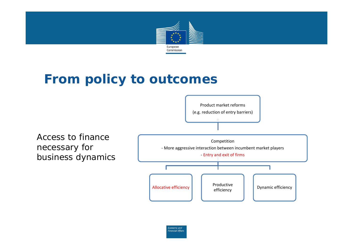

#### **From policy to outcomes**



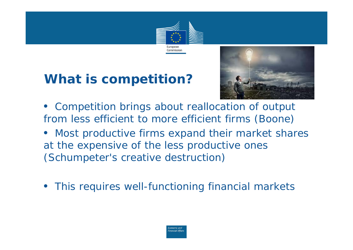

# **What is competition?**



- $\bullet$  *Competition brings about reallocation of output from less efficient to more efficient firms (Boone)*
- $\bullet$  *Most productive firms expand their market shares at the expensive of the less productive ones (Schumpeter's creative destruction)*
- $\bullet$ *This requires well-functioning financial markets*

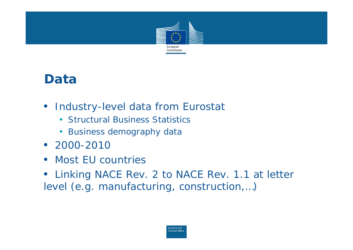

#### **Data**

- *Industry-level data from Eurostat*
	- Structural Business Statistics
	- Business demography data
- *2000-2010*
- *Most EU countries*
- *Linking NACE Rev. 2 to NACE Rev. 1.1 at letter level (e.g. manufacturing, construction,…)*

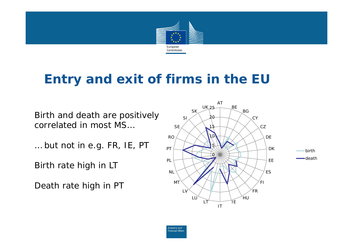

#### **Entry and exit of firms in the EU**

Birth and death are positively correlated in most MS…

… but not in e.g. FR, IE, PT

Birth rate high in LT

Death rate high in PT



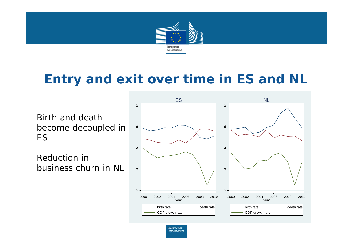

#### **Entry and exit over time in ES and NL**

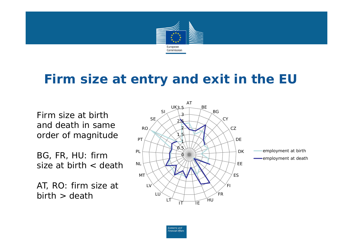

#### **Firm size at entry and exit in the EU**

Firm size at birth and death in same order of magnitude

BG, FR, HU: firm size at birth < death

AT, RO: firm size at  $birth > death$ 



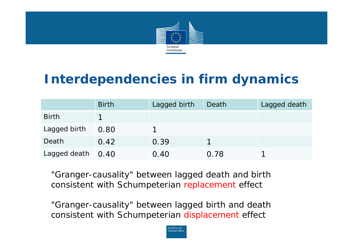

# **Interdependencies in firm dynamics**

|                     | <b>Birth</b> | Lagged birth | Death | Lagged death |
|---------------------|--------------|--------------|-------|--------------|
| <b>Birth</b>        |              |              |       |              |
| Lagged birth        | 0.80         |              |       |              |
| Death               | 0.42         | 0.39         |       |              |
| Lagged death $0.40$ |              | 0.40         | 0.78  |              |

"Granger-causality" between lagged death and birth consistent with Schumpeterian replacement effect

"Granger-causality" between lagged birth and death consistent with Schumpeterian displacement effect

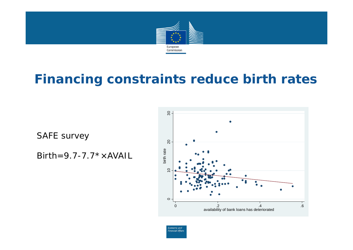

#### **Financing constraints reduce birth rates**

SAFE survey

Birth=9.7-7.7\* $\times$ AVAIL



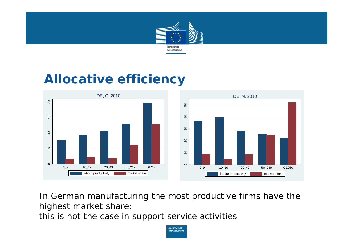

#### **Allocative efficiency**



In German manufacturing the most productive firms have the highest market share;

this is not the case in support service activities

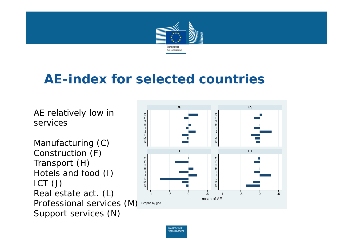

#### **AE-index for selected countries**

AE relatively low in services

Professional services (M) Graphs by geo Manufacturing (C) Construction (F) Transport (H) Hotels and food (I) ICT (J) Real estate act. (L) Support services (N)



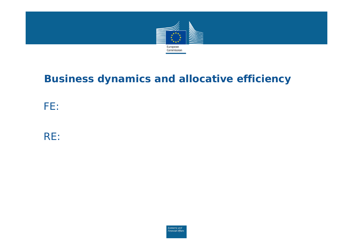

#### **Business dynamics and allocative efficiency**

*FE:*

*RE:*

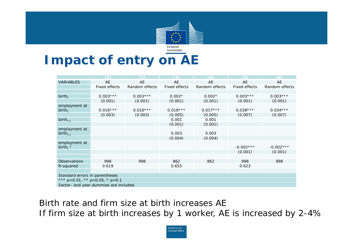

# **Impact of entry on AE**

|                                        | (1)           | $\mathcal{L}$  | (3)           | (4)            | (5)           | (6)            |
|----------------------------------------|---------------|----------------|---------------|----------------|---------------|----------------|
| <b>VARIABLES</b>                       | AE            | AE             | AE            | AE             | AE            | AE             |
|                                        | Fixed effects | Random effects | Fixed effects | Random effects | Fixed effects | Random effects |
|                                        |               |                |               |                |               |                |
| $birth_t$                              | $0.003***$    | $0.003***$     | $0.002*$      | $0.002*$       | $0.003***$    | $0.003***$     |
|                                        | (0.001)       | (0.001)        | (0.001)       | (0.001)        | (0.001)       | (0.001)        |
| employment at                          |               |                |               |                |               |                |
| $birth_t$                              | $0.016***$    | $0.016***$     | $0.018***$    | $0.017***$     | $0.038***$    | $0.034***$     |
|                                        | (0.003)       | (0.003)        | (0.005)       | (0.005)        | (0.007)       | (0.007)        |
| birth $_{t-1}$                         |               |                | 0.001         | 0.001          |               |                |
|                                        |               |                | (0.001)       | (0.001)        |               |                |
| employment at                          |               |                |               |                |               |                |
| birth $_{t-1}$                         |               |                | 0.003         | 0.003          |               |                |
|                                        |               |                | (0.004)       | (0.004)        |               |                |
| employment at                          |               |                |               |                |               |                |
| birth, $2$                             |               |                |               |                | $-0.002***$   | $-0.002$ ***   |
|                                        |               |                |               |                | (0.001)       | (0.001)        |
|                                        |               |                |               |                |               |                |
| Observations                           | 998           | 998            | 862           | 862            | 998           | 998            |
| R-squared                              | 0.619         |                | 0.655         |                | 0.623         |                |
|                                        |               |                |               |                |               |                |
| Standard errors in parentheses         |               |                |               |                |               |                |
| *** p<0.01, ** p<0.05, * p<0.1         |               |                |               |                |               |                |
| Sector- and year-dummies are included. |               |                |               |                |               |                |

Birth rate and firm size at birth increases AE If firm size at birth increases by 1 worker, AE is increased by 2-4%

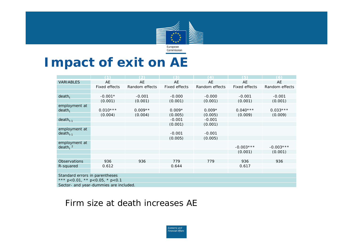

### **Impact of exit on AE**

|                                              | (1)                  | (2)            | (3)           | $\Delta$       | (5)           | (6)            |
|----------------------------------------------|----------------------|----------------|---------------|----------------|---------------|----------------|
| <b>VARIABLES</b>                             | AE                   | AE             | AE            | AE             | AE            | AE             |
|                                              | <b>Fixed effects</b> | Random effects | Fixed effects | Random effects | Fixed effects | Random effects |
|                                              |                      |                |               |                |               |                |
| $death_t$                                    | $-0.001*$            | $-0.001$       | $-0.000$      | $-0.000$       | $-0.001$      | $-0.001$       |
|                                              | (0.001)              | (0.001)        | (0.001)       | (0.001)        | (0.001)       | (0.001)        |
| employment at                                |                      |                |               |                |               |                |
| $death_t$                                    | $0.010***$           | $0.009**$      | $0.009*$      | $0.009*$       | $0.040***$    | $0.033***$     |
|                                              | (0.004)              | (0.004)        | (0.005)       | (0.005)        | (0.009)       | (0.009)        |
| $death_{t-1}$                                |                      |                | $-0.001$      | $-0.001$       |               |                |
|                                              |                      |                | (0.001)       | (0.001)        |               |                |
| employment at<br>$death_{t-1}$               |                      |                | $-0.001$      | $-0.001$       |               |                |
|                                              |                      |                | (0.005)       | (0.005)        |               |                |
| employment at                                |                      |                |               |                |               |                |
| death, $2$                                   |                      |                |               |                | $-0.003***$   | $-0.003***$    |
|                                              |                      |                |               |                | (0.001)       | (0.001)        |
|                                              |                      |                |               |                |               |                |
| Observations                                 | 936                  | 936            | 779           | 779            | 936           | 936            |
| R-squared                                    | 0.612                |                | 0.644         |                | 0.617         |                |
|                                              |                      |                |               |                |               |                |
| Standard errors in parentheses               |                      |                |               |                |               |                |
| *** $p < 0.01$ , ** $p < 0.05$ , * $p < 0.1$ |                      |                |               |                |               |                |
| Sector- and year-dummies are included.       |                      |                |               |                |               |                |

#### Firm size at death increases AE

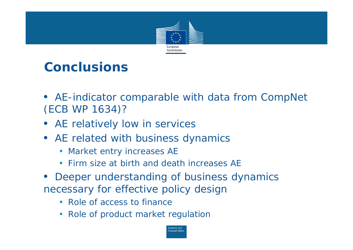

# **Conclusions**

- *AE-indicator comparable with data from CompNet (ECB WP 1634)?*
- *AE relatively low in services*
- *AE related with business dynamics*
	- $\bullet$ Market entry increases AE
	- •Firm size at birth and death increases AE
- $\bullet$  *Deeper understanding of business dynamics necessary for effective policy design*
	- Role of access to finance
	- Role of product market regulation

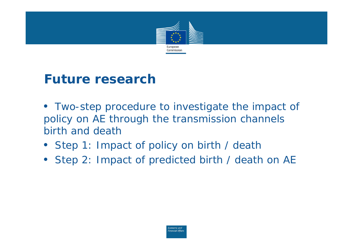

#### **Future research**

- $\bullet$  *Two-step procedure to investigate the impact of policy on AE through the transmission channels birth and death*
- *Step 1: Impact of policy on birth / death*
- *Step 2: Impact of predicted birth / death on AE*

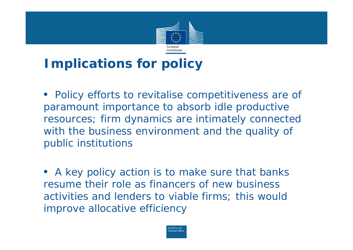

# **Implications for policy**

• *Policy efforts to revitalise competitiveness are of paramount importance to absorb idle productive resources; firm dynamics are intimately connected with the business environment and the quality of public institutions*

• *A key policy action is to make sure that banks resume their role as financers of new business activities and lenders to viable firms; this would improve allocative efficiency*